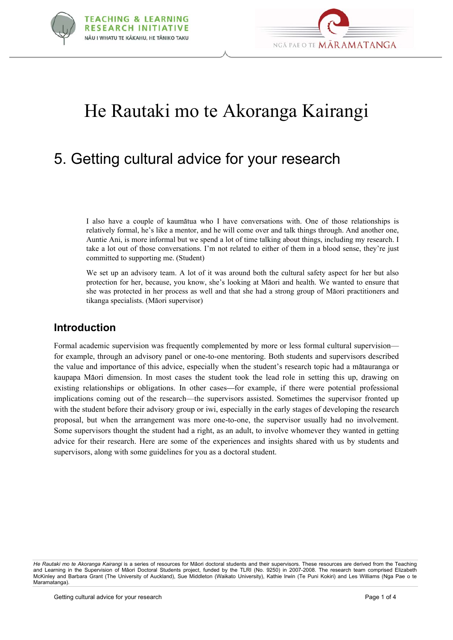



# He Rautaki mo te Akoranga Kairangi

# 5. Getting cultural advice for your research

I also have a couple of kaumätua who I have conversations with. One of those relationships is relatively formal, he's like a mentor, and he will come over and talk things through. And another one, Auntie Ani, is more informal but we spend a lot of time talking about things, including my research. I take a lot out of those conversations. I'm not related to either of them in a blood sense, they're just committed to supporting me. (Student)

We set up an advisory team. A lot of it was around both the cultural safety aspect for her but also protection for her, because, you know, she's looking at Mäori and health. We wanted to ensure that she was protected in her process as well and that she had a strong group of Mäori practitioners and tikanga specialists. (Mäori supervisor)

#### **Introduction**

Formal academic supervision was frequently complemented by more or less formal cultural supervision for example, through an advisory panel or one-to-one mentoring. Both students and supervisors described the value and importance of this advice, especially when the student's research topic had a mätauranga or kaupapa Mäori dimension. In most cases the student took the lead role in setting this up, drawing on existing relationships or obligations. In other cases—for example, if there were potential professional implications coming out of the research—the supervisors assisted. Sometimes the supervisor fronted up with the student before their advisory group or iwi, especially in the early stages of developing the research proposal, but when the arrangement was more one-to-one, the supervisor usually had no involvement. Some supervisors thought the student had a right, as an adult, to involve whomever they wanted in getting advice for their research. Here are some of the experiences and insights shared with us by students and supervisors, along with some guidelines for you as a doctoral student.

*He Rautaki mo te Akoranga Kairangi* is a series of resources for Mäori doctoral students and their supervisors. These resources are derived from the Teaching and Learning in the Supervision of Māori Doctoral Students project, funded by the TLRI (No. 9250) in 2007-2008. The research team comprised Elizabeth McKinley and Barbara Grant (The University of Auckland), Sue Middleton (Waikato University), Kathie Irwin (Te Puni Kokiri) and Les Williams (Nga Pae o te Maramatanga).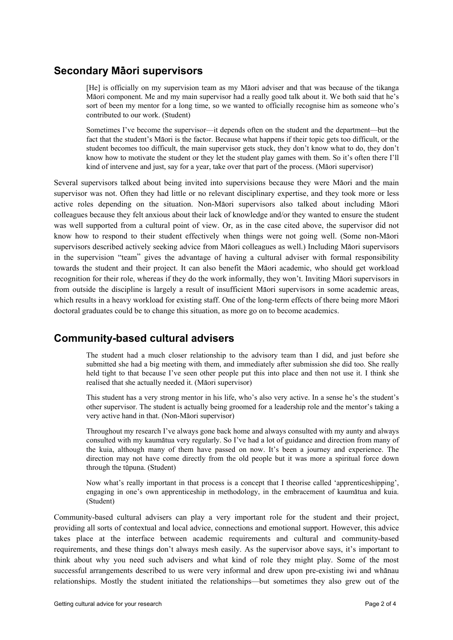# **Secondary Mäori supervisors**

[He] is officially on my supervision team as my Mäori adviser and that was because of the tikanga Mäori component. Me and my main supervisor had a really good talk about it. We both said that he's sort of been my mentor for a long time, so we wanted to officially recognise him as someone who's contributed to our work. (Student)

Sometimes I've become the supervisor—it depends often on the student and the department—but the fact that the student's Mäori is the factor. Because what happens if their topic gets too difficult, or the student becomes too difficult, the main supervisor gets stuck, they don't know what to do, they don't know how to motivate the student or they let the student play games with them. So it's often there I'll kind of intervene and just, say for a year, take over that part of the process. (Mäori supervisor)

Several supervisors talked about being invited into supervisions because they were Mäori and the main supervisor was not. Often they had little or no relevant disciplinary expertise, and they took more or less active roles depending on the situation. Non-Mäori supervisors also talked about including Mäori colleagues because they felt anxious about their lack of knowledge and/or they wanted to ensure the student was well supported from a cultural point of view. Or, as in the case cited above, the supervisor did not know how to respond to their student effectively when things were not going well. (Some non-Mäori supervisors described actively seeking advice from Mäori colleagues as well.) Including Mäori supervisors in the supervision "team" gives the advantage of having a cultural adviser with formal responsibility towards the student and their project. It can also benefit the Mäori academic, who should get workload recognition for their role, whereas if they do the work informally, they won't. Inviting Mäori supervisors in from outside the discipline is largely a result of insufficient Mäori supervisors in some academic areas, which results in a heavy workload for existing staff. One of the long-term effects of there being more Mäori doctoral graduates could be to change this situation, as more go on to become academics.

# **Community-based cultural advisers**

The student had a much closer relationship to the advisory team than I did, and just before she submitted she had a big meeting with them, and immediately after submission she did too. She really held tight to that because I've seen other people put this into place and then not use it. I think she realised that she actually needed it. (Mäori supervisor)

This student has a very strong mentor in his life, who's also very active. In a sense he's the student's other supervisor. The student is actually being groomed for a leadership role and the mentor's taking a very active hand in that. (Non-Mäori supervisor)

Throughout my research I've always gone back home and always consulted with my aunty and always consulted with my kaumätua very regularly. So I've had a lot of guidance and direction from many of the kuia, although many of them have passed on now. It's been a journey and experience. The direction may not have come directly from the old people but it was more a spiritual force down through the tüpuna. (Student)

Now what's really important in that process is a concept that I theorise called 'apprenticeshipping', engaging in one's own apprenticeship in methodology, in the embracement of kaumätua and kuia. (Student)

Community-based cultural advisers can play a very important role for the student and their project, providing all sorts of contextual and local advice, connections and emotional support. However, this advice takes place at the interface between academic requirements and cultural and community-based requirements, and these things don't always mesh easily. As the supervisor above says, it's important to think about why you need such advisers and what kind of role they might play. Some of the most successful arrangements described to us were very informal and drew upon pre-existing iwi and whänau relationships. Mostly the student initiated the relationships—but sometimes they also grew out of the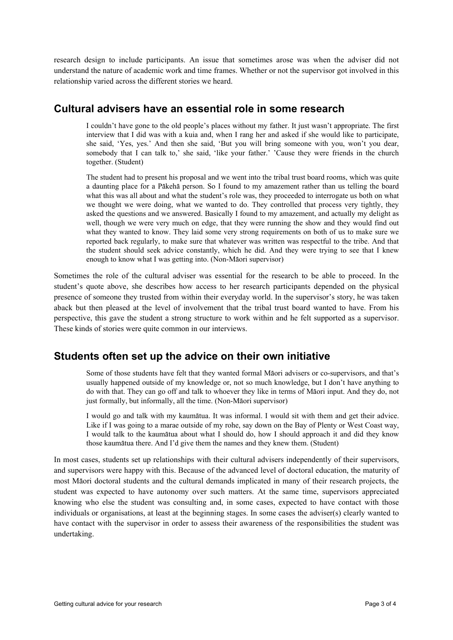research design to include participants. An issue that sometimes arose was when the adviser did not understand the nature of academic work and time frames. Whether or not the supervisor got involved in this relationship varied across the different stories we heard.

#### **Cultural advisers have an essential role in some research**

I couldn't have gone to the old people's places without my father. It just wasn't appropriate. The first interview that I did was with a kuia and, when I rang her and asked if she would like to participate, she said, 'Yes, yes.' And then she said, 'But you will bring someone with you, won't you dear, somebody that I can talk to,' she said, 'like your father.' 'Cause they were friends in the church together. (Student)

The student had to present his proposal and we went into the tribal trust board rooms, which was quite a daunting place for a Päkehä person. So I found to my amazement rather than us telling the board what this was all about and what the student's role was, they proceeded to interrogate us both on what we thought we were doing, what we wanted to do. They controlled that process very tightly, they asked the questions and we answered. Basically I found to my amazement, and actually my delight as well, though we were very much on edge, that they were running the show and they would find out what they wanted to know. They laid some very strong requirements on both of us to make sure we reported back regularly, to make sure that whatever was written was respectful to the tribe. And that the student should seek advice constantly, which he did. And they were trying to see that I knew enough to know what I was getting into. (Non-Mäori supervisor)

Sometimes the role of the cultural adviser was essential for the research to be able to proceed. In the student's quote above, she describes how access to her research participants depended on the physical presence of someone they trusted from within their everyday world. In the supervisor's story, he was taken aback but then pleased at the level of involvement that the tribal trust board wanted to have. From his perspective, this gave the student a strong structure to work within and he felt supported as a supervisor. These kinds of stories were quite common in our interviews.

# **Students often set up the advice on their own initiative**

Some of those students have felt that they wanted formal Mäori advisers or co-supervisors, and that's usually happened outside of my knowledge or, not so much knowledge, but I don't have anything to do with that. They can go off and talk to whoever they like in terms of Mäori input. And they do, not just formally, but informally, all the time. (Non-Mäori supervisor)

I would go and talk with my kaumätua. It was informal. I would sit with them and get their advice. Like if I was going to a marae outside of my rohe, say down on the Bay of Plenty or West Coast way, I would talk to the kaumätua about what I should do, how I should approach it and did they know those kaumätua there. And I'd give them the names and they knew them. (Student)

In most cases, students set up relationships with their cultural advisers independently of their supervisors, and supervisors were happy with this. Because of the advanced level of doctoral education, the maturity of most Mäori doctoral students and the cultural demands implicated in many of their research projects, the student was expected to have autonomy over such matters. At the same time, supervisors appreciated knowing who else the student was consulting and, in some cases, expected to have contact with those individuals or organisations, at least at the beginning stages. In some cases the adviser(s) clearly wanted to have contact with the supervisor in order to assess their awareness of the responsibilities the student was undertaking.